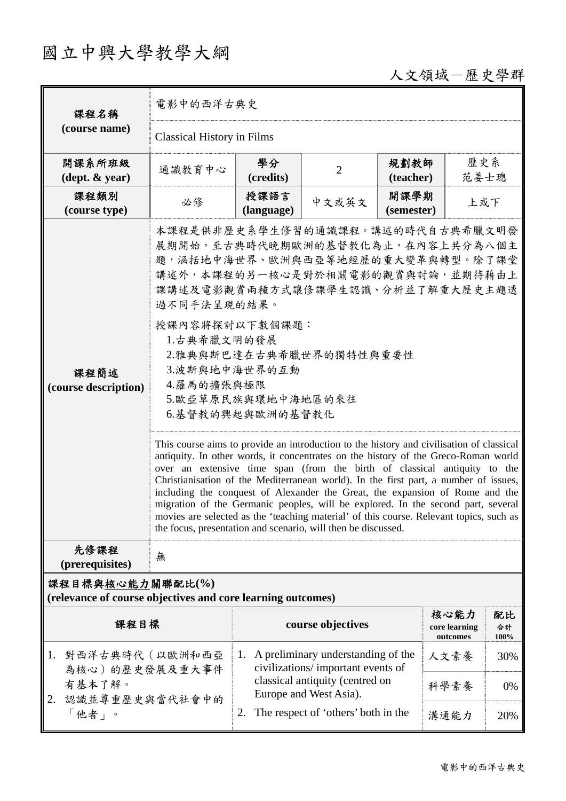# 國立中興大學教學大綱

## 人文領域-歷史學群

| 課程名稱                                                                            | 電影中的西洋古典史                         |                                                                                                                                                                                                                                                                                                                                                                                                                                                                                                                                                                                                                                                                                                                                                                                                                                                                                                                                                                                                                             |                                                                         |                    |                                   |                  |  |
|---------------------------------------------------------------------------------|-----------------------------------|-----------------------------------------------------------------------------------------------------------------------------------------------------------------------------------------------------------------------------------------------------------------------------------------------------------------------------------------------------------------------------------------------------------------------------------------------------------------------------------------------------------------------------------------------------------------------------------------------------------------------------------------------------------------------------------------------------------------------------------------------------------------------------------------------------------------------------------------------------------------------------------------------------------------------------------------------------------------------------------------------------------------------------|-------------------------------------------------------------------------|--------------------|-----------------------------------|------------------|--|
| (course name)                                                                   | <b>Classical History in Films</b> |                                                                                                                                                                                                                                                                                                                                                                                                                                                                                                                                                                                                                                                                                                                                                                                                                                                                                                                                                                                                                             |                                                                         |                    |                                   |                  |  |
| 開課系所班級<br>$(\text{dept.} \& \text{ year})$                                      | 通識教育中心                            | 學分<br>(credits)                                                                                                                                                                                                                                                                                                                                                                                                                                                                                                                                                                                                                                                                                                                                                                                                                                                                                                                                                                                                             | $\overline{2}$                                                          | 規劃教師<br>(teacher)  | 歷史系                               | 范姜士璁             |  |
| 課程類別<br>(course type)                                                           | 必修                                | 授課語言<br>(language)                                                                                                                                                                                                                                                                                                                                                                                                                                                                                                                                                                                                                                                                                                                                                                                                                                                                                                                                                                                                          | 中文或英文                                                                   | 開課學期<br>(semester) | 上或下                               |                  |  |
| 課程簡述<br>(course description)                                                    |                                   | 本課程是供非歷史系學生修習的通識課程。講述的時代自古典希臘文明發<br>展期開始,至古典時代晚期歐洲的基督教化為止,在內容上共分為八個主<br>題,涵括地中海世界、歐洲與西亞等地經歷的重大變革與轉型。除了課堂<br>講述外,本課程的另一核心是對於相關電影的觀賞與討論,並期待藉由上<br>課講述及電影觀賞兩種方式讓修課學生認識、分析並了解重大歷史主題透<br>過不同手法呈現的結果。<br>授課內容將探討以下數個課題:<br>1.古典希臘文明的發展<br>2.雅典與斯巴達在古典希臘世界的獨特性與重要性<br>3.波斯與地中海世界的互動<br>4.羅馬的擴張與極限<br>5.歐亞草原民族與環地中海地區的來往<br>6.基督教的興起與歐洲的基督教化<br>This course aims to provide an introduction to the history and civilisation of classical<br>antiquity. In other words, it concentrates on the history of the Greco-Roman world<br>over an extensive time span (from the birth of classical antiquity to the<br>Christianisation of the Mediterranean world). In the first part, a number of issues,<br>including the conquest of Alexander the Great, the expansion of Rome and the<br>migration of the Germanic peoples, will be explored. In the second part, several<br>movies are selected as the 'teaching material' of this course. Relevant topics, such as<br>the focus, presentation and scenario, will then be discussed. |                                                                         |                    |                                   |                  |  |
| 先修課程<br>(prerequisites)                                                         | 無                                 |                                                                                                                                                                                                                                                                                                                                                                                                                                                                                                                                                                                                                                                                                                                                                                                                                                                                                                                                                                                                                             |                                                                         |                    |                                   |                  |  |
| 課程目標與核心能力關聯配比(%)<br>(relevance of course objectives and core learning outcomes) |                                   |                                                                                                                                                                                                                                                                                                                                                                                                                                                                                                                                                                                                                                                                                                                                                                                                                                                                                                                                                                                                                             |                                                                         |                    |                                   |                  |  |
| 課程目標                                                                            |                                   |                                                                                                                                                                                                                                                                                                                                                                                                                                                                                                                                                                                                                                                                                                                                                                                                                                                                                                                                                                                                                             | course objectives                                                       |                    | 核心能力<br>core learning<br>outcomes | 配比<br>合計<br>100% |  |
| 1. 對西洋古典時代 (以歐洲和西亞<br>為核心)的歷史發展及重大事件                                            |                                   | 1.                                                                                                                                                                                                                                                                                                                                                                                                                                                                                                                                                                                                                                                                                                                                                                                                                                                                                                                                                                                                                          | A preliminary understanding of the<br>civilizations/important events of |                    | 人文素養                              | 30%              |  |
| 有基本了解。<br>認識並尊重歷史與當代社會中的<br>2.                                                  |                                   | classical antiquity (centred on<br>Europe and West Asia).                                                                                                                                                                                                                                                                                                                                                                                                                                                                                                                                                                                                                                                                                                                                                                                                                                                                                                                                                                   |                                                                         |                    | 科學素養                              | 0%               |  |
| 「他者」。                                                                           |                                   | 2.                                                                                                                                                                                                                                                                                                                                                                                                                                                                                                                                                                                                                                                                                                                                                                                                                                                                                                                                                                                                                          | The respect of 'others' both in the                                     |                    | 溝通能力                              | 20%              |  |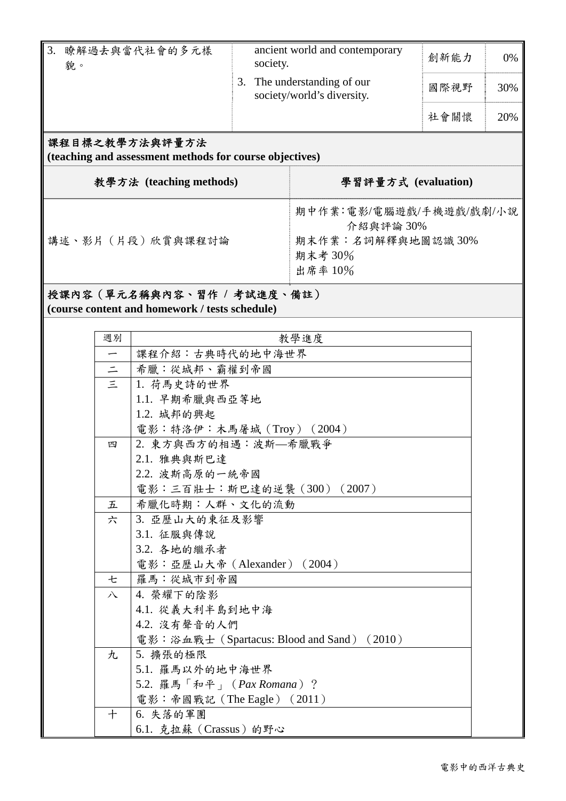| 3.<br>瞭解過去與當代社會的多元樣<br>貌。                                                 | society. | ancient world and contemporary<br>創新能力                 |      | 0%  |
|---------------------------------------------------------------------------|----------|--------------------------------------------------------|------|-----|
|                                                                           | 3.       | The understanding of our<br>society/world's diversity. | 國際視野 | 30% |
|                                                                           |          |                                                        | 社會關懷 | 20% |
| 課程目標之教學方法與評量方法<br>(teaching and assessment methods for course objectives) |          |                                                        |      |     |
| 教學方法 (teaching methods)                                                   |          | 學習評量方式 (evaluation)                                    |      |     |
|                                                                           |          | 期中作業:電影/電腦遊戲/手機遊戲/戲劇/小說                                |      |     |

講述、影片(片段)欣賞與課程討論

## 介紹與評論 30% 期末作業:名詞解釋與地圖認識 30% 期末考 30% 出席率 10%

### 授課內容(單元名稱與內容、習作 **/** 考試進度、備註)

**(course content and homework / tests schedule)** 

| 週別                       | 教學進度                                       |  |
|--------------------------|--------------------------------------------|--|
| $\overline{\phantom{m}}$ | 課程介紹:古典時代的地中海世界                            |  |
| $\equiv$                 | 希臘:從城邦、霸權到帝國                               |  |
| 1                        | 1. 荷馬史詩的世界                                 |  |
|                          | 1.1. 早期希臘與西亞等地                             |  |
|                          | 1.2. 城邦的興起                                 |  |
|                          | 電影:特洛伊:木馬屠城 (Troy) (2004)                  |  |
| 四                        | 2. 東方與西方的相遇:波斯–希臘戰爭                        |  |
|                          | 2.1. 雅典與斯巴達                                |  |
|                          | 2.2. 波斯高原的一統帝國                             |  |
|                          | 電影:三百壯士:斯巴達的逆襲 (300) (2007)                |  |
| 五                        | 希臘化時期:人群、文化的流動                             |  |
| 六                        | 3. 亞歷山大的東征及影響                              |  |
|                          | 3.1. 征服與傳說                                 |  |
|                          | 3.2. 各地的繼承者                                |  |
|                          | 電影: 亞歷山大帝 (Alexander) (2004)               |  |
| 七                        | 羅馬:從城市到帝國                                  |  |
| 八                        | 4. 榮耀下的陰影                                  |  |
|                          | 4.1. 從義大利半島到地中海                            |  |
|                          | 4.2. 没有聲音的人們                               |  |
|                          | 電影:浴血戰士 (Spartacus: Blood and Sand) (2010) |  |
| 九                        | 5. 擴張的極限                                   |  |
|                          | 5.1. 羅馬以外的地中海世界                            |  |
|                          | 5.2. 羅馬「和平」 (Pax Romana)?                  |  |
|                          | 電影: 帝國戰記 (The Eagle) (2011)                |  |
| $\pm$                    | 6. 失落的軍團                                   |  |
|                          | 6.1. 克拉蘇 (Crassus) 的野心                     |  |